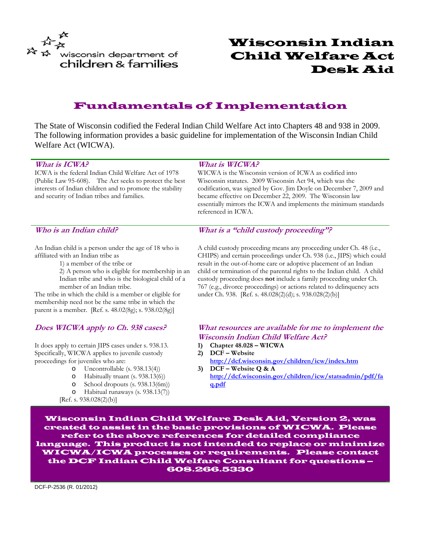

# Wisconsin Indian Child Welfare Act Desk Aid

# Fundamentals of Implementation

The State of Wisconsin codified the Federal Indian Child Welfare Act into Chapters 48 and 938 in 2009. The following information provides a basic guideline for implementation of the Wisconsin Indian Child Welfare Act (WICWA).

#### **What is ICWA?**

ICWA is the federal Indian Child Welfare Act of 1978 (Public Law 95-608). The Act seeks to protect the best interests of Indian children and to promote the stability and security of Indian tribes and families.

#### **What is WICWA?**

WICWA is the Wisconsin version of ICWA as codified into Wisconsin statutes. 2009 Wisconsin Act 94, which was the codification, was signed by Gov. Jim Doyle on December 7, 2009 and became effective on December 22, 2009. The Wisconsin law essentially mirrors the ICWA and implements the minimum standards referenced in ICWA.

### **Who is an Indian child?**

An Indian child is a person under the age of 18 who is affiliated with an Indian tribe as

1) a member of the tribe or

2) A person who is eligible for membership in an Indian tribe and who is the biological child of a member of an Indian tribe.

The tribe in which the child is a member or eligible for membership need not be the same tribe in which the parent is a member. [Ref. s. 48.02(8g); s. 938.02(8g)]

### **Does WICWA apply to Ch. 938 cases?**

It does apply to certain JIPS cases under s. 938.13. Specifically, WICWA applies to juvenile custody proceedings for juveniles who are:

- o Uncontrollable (s. 938.13(4))
- o Habitually truant (s. 938.13(6))
- o School dropouts (s. 938.13(6m))
- o Habitual runaways (s. 938.13(7))
- [Ref. s. 938.028(2)(b)]

**What is a "child custody proceeding"?** 

A child custody proceeding means any proceeding under Ch. 48 (i.e., CHIPS) and certain proceedings under Ch. 938 (i.e., JIPS) which could result in the out-of-home care or adoptive placement of an Indian child or termination of the parental rights to the Indian child. A child custody proceeding does **not** include a family proceeding under Ch. 767 (e.g., divorce proceedings) or actions related to delinquency acts under Ch. 938. [Ref. s. 48.028(2)(d); s. 938.028(2)(b)]

### **What resources are available for me to implement the Wisconsin Indian Child Welfare Act?**

- **1) Chapter 48.028 WICWA**
- **2) DCF Website <http://dcf.wisconsin.gov/children/icw/index.htm>**
- **3) DCF Website Q & A [http://dcf.wisconsin.gov/children/icw/statsadmin/pdf/fa](http://dcf.wisconsin.gov/children/icw/statsadmin/pdf/faq.pdf) [q.pdf](http://dcf.wisconsin.gov/children/icw/statsadmin/pdf/faq.pdf)**

Wisconsin Indian Child Welfare Desk Aid, Version 2, was created to assist in the basic provisions of WICWA. Please refer to the above references for detailed compliance language. This product is not intended to replace or minimize WICWA/ICWA processes or requirements. Please contact the DCF Indian Child Welfare Consultant for questions – 608.266.5330

DCF-P-2536 (R. 01/2012)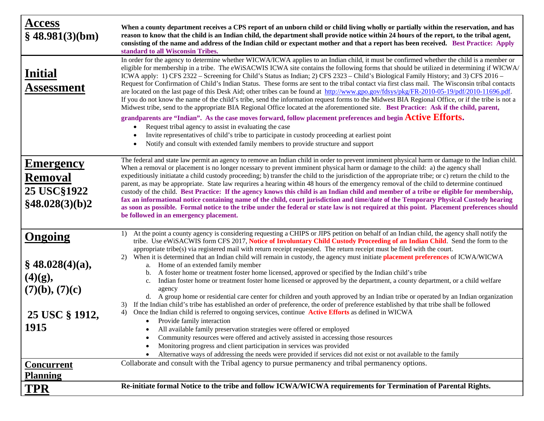| <b>Access</b><br>$§$ 48.981(3)(bm)                                                         | When a county department receives a CPS report of an unborn child or child living wholly or partially within the reservation, and has<br>reason to know that the child is an Indian child, the department shall provide notice within 24 hours of the report, to the tribal agent,<br>consisting of the name and address of the Indian child or expectant mother and that a report has been received. Best Practice: Apply<br>standard to all Wisconsin Tribes.                                                                                                                                                                                                                                                                                                                                                                                                                                                                                                                                                                                                                                                                                                                                                                                                                                                                                                                                                                                                                                                                                                                                                                                        |
|--------------------------------------------------------------------------------------------|--------------------------------------------------------------------------------------------------------------------------------------------------------------------------------------------------------------------------------------------------------------------------------------------------------------------------------------------------------------------------------------------------------------------------------------------------------------------------------------------------------------------------------------------------------------------------------------------------------------------------------------------------------------------------------------------------------------------------------------------------------------------------------------------------------------------------------------------------------------------------------------------------------------------------------------------------------------------------------------------------------------------------------------------------------------------------------------------------------------------------------------------------------------------------------------------------------------------------------------------------------------------------------------------------------------------------------------------------------------------------------------------------------------------------------------------------------------------------------------------------------------------------------------------------------------------------------------------------------------------------------------------------------|
| <b>Initial</b><br>Assessment                                                               | In order for the agency to determine whether WICWA/ICWA applies to an Indian child, it must be confirmed whether the child is a member or<br>eligible for membership in a tribe. The eWiSACWIS ICWA site contains the following forms that should be utilized in determining if WICWA/<br>ICWA apply: 1) CFS 2322 – Screening for Child's Status as Indian; 2) CFS 2323 – Child's Biological Family History; and 3) CFS 2016 –<br>Request for Confirmation of Child's Indian Status. These forms are sent to the tribal contact via first class mail. The Wisconsin tribal contacts<br>are located on the last page of this Desk Aid; other tribes can be found at http://www.gpo.gov/fdsys/pkg/FR-2010-05-19/pdf/2010-11696.pdf.<br>If you do not know the name of the child's tribe, send the information request forms to the Midwest BIA Regional Office, or if the tribe is not a<br>Midwest tribe, send to the appropriate BIA Regional Office located at the aforementioned site. Best Practice: Ask if the child, parent,<br>grandparents are "Indian". As the case moves forward, follow placement preferences and begin Active Efforts.<br>Request tribal agency to assist in evaluating the case<br>$\bullet$<br>Invite representatives of child's tribe to participate in custody proceeding at earliest point<br>Notify and consult with extended family members to provide structure and support                                                                                                                                                                                                                                         |
| <b>Emergency</b><br><b>Removal</b><br><b>25 USC§1922</b><br>§48.028(3)(b)2                 | The federal and state law permit an agency to remove an Indian child in order to prevent imminent physical harm or damage to the Indian child.<br>When a removal or placement is no longer ncessary to prevent imminent physical harm or damage to the child: a) the agency shall<br>expeditiously initiatate a child custody proceeding; b) transfer the child to the jurisdiction of the appropriate tribe; or c) return the child to the<br>parent, as may be appropriate. State law requrires a hearing within 48 hours of the emergency removal of the child to determine continued<br>custody of the child. Best Practice: If the agency knows this child is an Indian child and member of a tribe or eligible for membership,<br>fax an informational notice containing name of the child, court jurisdiction and time/date of the Temporary Physical Custody hearing<br>as soon as possible. Formal notice to the tribe under the federal or state law is not required at this point. Placement preferences should<br>be followed in an emergency placement.                                                                                                                                                                                                                                                                                                                                                                                                                                                                                                                                                                                   |
| <b>Ongoing</b><br>$§$ 48.028(4)(a),<br>(4)(g),<br>(7)(b), (7)(c)<br>25 USC § 1912,<br>1915 | At the point a county agency is considering requesting a CHIPS or JIPS petition on behalf of an Indian child, the agency shall notify the<br>1)<br>tribe. Use eWiSACWIS form CFS 2017, Notice of Involuntary Child Custody Proceeding of an Indian Child. Send the form to the<br>appropriate tribe(s) via registered mail with return receipt requested. The return receipt must be filed with the court.<br>2) When it is determined that an Indian child will remain in custody, the agency must initiate placement preferences of ICWA/WICWA<br>Home of an extended family member<br>a.<br>A foster home or treatment foster home licensed, approved or specified by the Indian child's tribe<br>b.<br>Indian foster home or treatment foster home licensed or approved by the department, a county department, or a child welfare<br>c.<br>agency<br>d. A group home or residential care center for children and youth approved by an Indian tribe or operated by an Indian organization<br>If the Indian child's tribe has established an order of preference, the order of preference established by that tribe shall be followed<br>3)<br>Once the Indian child is referred to ongoing services, continue Active Efforts as defined in WICWA<br>4)<br>• Provide family interaction<br>All available family preservation strategies were offered or employed<br>Community resources were offered and actively assisted in accessing those resources<br>Monitoring progress and client participation in services was provided<br>Alternative ways of addressing the needs were provided if services did not exist or not available to the family |
| <u>Concurrent</u><br><b>Planning</b>                                                       | Collaborate and consult with the Tribal agency to pursue permanency and tribal permanency options.                                                                                                                                                                                                                                                                                                                                                                                                                                                                                                                                                                                                                                                                                                                                                                                                                                                                                                                                                                                                                                                                                                                                                                                                                                                                                                                                                                                                                                                                                                                                                     |
| TPR                                                                                        | Re-initiate formal Notice to the tribe and follow ICWA/WICWA requirements for Termination of Parental Rights.                                                                                                                                                                                                                                                                                                                                                                                                                                                                                                                                                                                                                                                                                                                                                                                                                                                                                                                                                                                                                                                                                                                                                                                                                                                                                                                                                                                                                                                                                                                                          |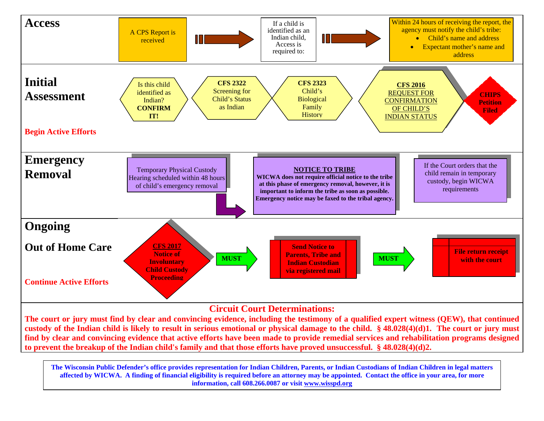

**custody of the Indian child is likely to result in serious emotional or physical damage to the child. § 48.028(4)(d)1. The court or jury must find by clear and convincing evidence that active efforts have been made to provide remedial services and rehabilitation programs designed to prevent the breakup of the Indian child's family and that those efforts have proved unsuccessful. § 48.028(4)(d)2.**

**The Wisconsin Public Defender's office provides representation for Indian Children, Parents, or Indian Custodians of Indian Children in legal matters affected by WICWA. A finding of financial eligibility is required before an attorney may be appointed. Contact the office in your area, for more information, call 608.266.0087 or visit [www.wisspd.org](http://www.wisspd.org/)**